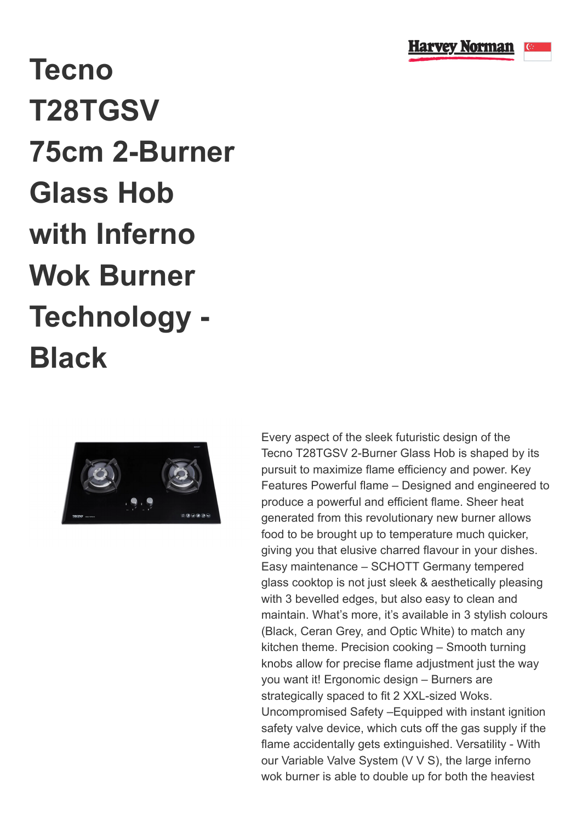

## **Tecno T28TGSV 75cm 2-Burner Glass Hob with Inferno Wok Burner Technology - Black**



Every aspect of the sleek futuristic design of the Tecno T28TGSV 2-Burner Glass Hob is shaped by its pursuit to maximize flame efficiency and power. Key Features Powerful flame – Designed and engineered to produce a powerful and efficient flame. Sheer heat generated from this revolutionary new burner allows food to be brought up to temperature much quicker, giving you that elusive charred flavour in your dishes. Easy maintenance – SCHOTT Germany tempered glass cooktop is not just sleek & aesthetically pleasing with 3 bevelled edges, but also easy to clean and maintain. What's more, it's available in 3 stylish colours (Black, Ceran Grey, and Optic White) to match any kitchen theme. Precision cooking – Smooth turning knobs allow for precise flame adjustment just the way you want it! Ergonomic design – Burners are strategically spaced to fit 2 XXL-sized Woks. Uncompromised Safety –Equipped with instant ignition safety valve device, which cuts off the gas supply if the flame accidentally gets extinguished. Versatility - With our Variable Valve System (V V S), the large inferno wok burner is able to double up for both the heaviest